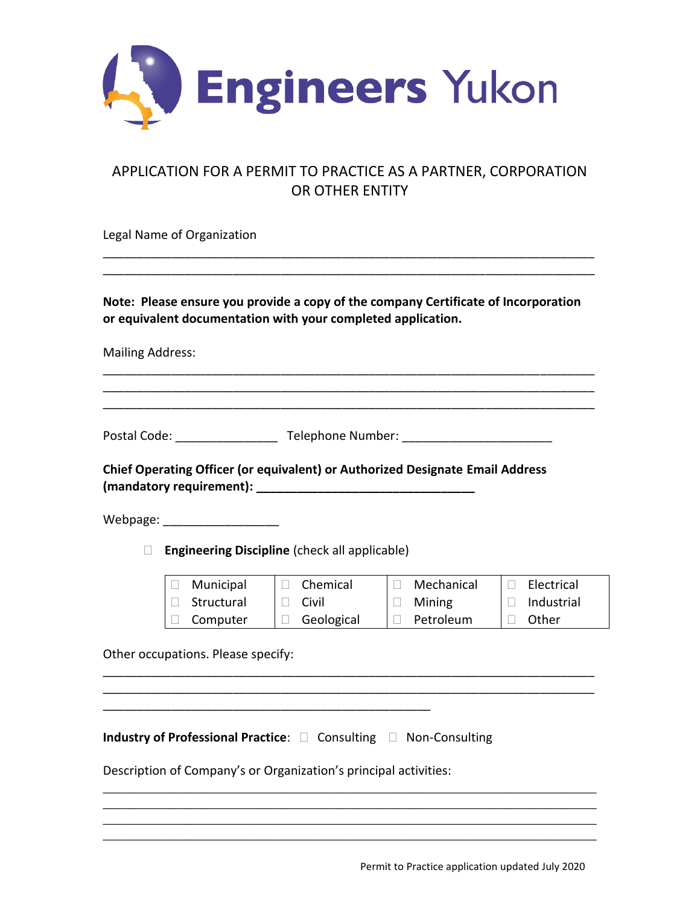

## APPLICATION FOR A PERMIT TO PRACTICE AS A PARTNER, CORPORATION OR OTHER ENTITY

\_\_\_\_\_\_\_\_\_\_\_\_\_\_\_\_\_\_\_\_\_\_\_\_\_\_\_\_\_\_\_\_\_\_\_\_\_\_\_\_\_\_\_\_\_\_\_\_\_\_\_\_\_\_\_\_\_\_\_\_\_\_\_\_\_\_\_\_\_\_\_\_ \_\_\_\_\_\_\_\_\_\_\_\_\_\_\_\_\_\_\_\_\_\_\_\_\_\_\_\_\_\_\_\_\_\_\_\_\_\_\_\_\_\_\_\_\_\_\_\_\_\_\_\_\_\_\_\_\_\_\_\_\_\_\_\_\_\_\_\_\_\_\_\_

Legal Name of Organization

**Note: Please ensure you provide a copy of the company Certificate of Incorporation or equivalent documentation with your completed application.** 

\_\_\_\_\_\_\_\_\_\_\_\_\_\_\_\_\_\_\_\_\_\_\_\_\_\_\_\_\_\_\_\_\_\_\_\_\_\_\_\_\_\_\_\_\_\_\_\_\_\_\_\_\_\_\_\_\_\_\_\_\_\_\_\_\_\_\_\_\_\_\_\_ \_\_\_\_\_\_\_\_\_\_\_\_\_\_\_\_\_\_\_\_\_\_\_\_\_\_\_\_\_\_\_\_\_\_\_\_\_\_\_\_\_\_\_\_\_\_\_\_\_\_\_\_\_\_\_\_\_\_\_\_\_\_\_\_\_\_\_\_\_\_\_\_ \_\_\_\_\_\_\_\_\_\_\_\_\_\_\_\_\_\_\_\_\_\_\_\_\_\_\_\_\_\_\_\_\_\_\_\_\_\_\_\_\_\_\_\_\_\_\_\_\_\_\_\_\_\_\_\_\_\_\_\_\_\_\_\_\_\_\_\_\_\_\_\_

Mailing Address:

Postal Code: \_\_\_\_\_\_\_\_\_\_\_\_\_\_\_ Telephone Number: \_\_\_\_\_\_\_\_\_\_\_\_\_\_\_\_\_\_\_\_\_\_

**Chief Operating Officer (or equivalent) or Authorized Designate Email Address (mandatory requirement): \_\_\_\_\_\_\_\_\_\_\_\_\_\_\_\_\_\_\_\_\_\_\_\_\_\_\_\_\_\_\_\_** 

Webpage: \_\_\_\_\_\_\_\_\_\_\_\_\_\_\_\_\_

**Engineering Discipline** (check all applicable)

| Municipal  | Chemical   | Mechanical | Electrical |
|------------|------------|------------|------------|
| Structural | Civil      | Mining     | Industrial |
| Computer   | Geological | Petroleum  | Other      |

\_\_\_\_\_\_\_\_\_\_\_\_\_\_\_\_\_\_\_\_\_\_\_\_\_\_\_\_\_\_\_\_\_\_\_\_\_\_\_\_\_\_\_\_\_\_\_\_\_\_\_\_\_\_\_\_\_\_\_\_\_\_\_\_\_\_\_\_\_\_\_\_ \_\_\_\_\_\_\_\_\_\_\_\_\_\_\_\_\_\_\_\_\_\_\_\_\_\_\_\_\_\_\_\_\_\_\_\_\_\_\_\_\_\_\_\_\_\_\_\_\_\_\_\_\_\_\_\_\_\_\_\_\_\_\_\_\_\_\_\_\_\_\_\_

\_\_\_\_\_\_\_\_\_\_\_\_\_\_\_\_\_\_\_\_\_\_\_\_\_\_\_\_\_\_\_\_\_\_\_\_\_\_\_\_\_\_\_\_\_\_\_\_\_\_\_\_\_\_\_\_\_\_\_\_\_\_\_\_\_\_\_\_\_\_\_\_ \_\_\_\_\_\_\_\_\_\_\_\_\_\_\_\_\_\_\_\_\_\_\_\_\_\_\_\_\_\_\_\_\_\_\_\_\_\_\_\_\_\_\_\_\_\_\_\_\_\_\_\_\_\_\_\_\_\_\_\_\_\_\_\_\_\_\_\_\_\_\_\_ \_\_\_\_\_\_\_\_\_\_\_\_\_\_\_\_\_\_\_\_\_\_\_\_\_\_\_\_\_\_\_\_\_\_\_\_\_\_\_\_\_\_\_\_\_\_\_\_\_\_\_\_\_\_\_\_\_\_\_\_\_\_\_\_\_\_\_\_\_\_\_\_ \_\_\_\_\_\_\_\_\_\_\_\_\_\_\_\_\_\_\_\_\_\_\_\_\_\_\_\_\_\_\_\_\_\_\_\_\_\_\_\_\_\_\_\_\_\_\_\_\_\_\_\_\_\_\_\_\_\_\_\_\_\_\_\_\_\_\_\_\_\_\_\_

Other occupations. Please specify:

**Industry of Professional Practice:**  $\Box$  Consulting  $\Box$  Non-Consulting

Description of Company's or Organization's principal activities:

\_\_\_\_\_\_\_\_\_\_\_\_\_\_\_\_\_\_\_\_\_\_\_\_\_\_\_\_\_\_\_\_\_\_\_\_\_\_\_\_\_\_\_\_\_\_\_\_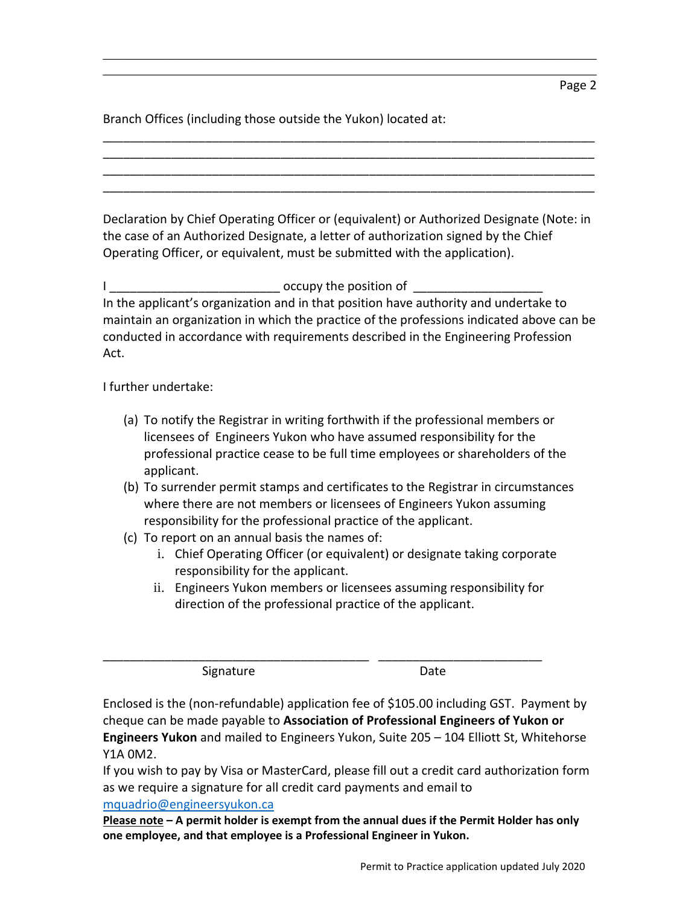Branch Offices (including those outside the Yukon) located at:

Declaration by Chief Operating Officer or (equivalent) or Authorized Designate (Note: in the case of an Authorized Designate, a letter of authorization signed by the Chief Operating Officer, or equivalent, must be submitted with the application).

\_\_\_\_\_\_\_\_\_\_\_\_\_\_\_\_\_\_\_\_\_\_\_\_\_\_\_\_\_\_\_\_\_\_\_\_\_\_\_\_\_\_\_\_\_\_\_\_\_\_\_\_\_\_\_\_\_\_\_\_\_\_\_\_\_\_\_\_\_\_\_\_ \_\_\_\_\_\_\_\_\_\_\_\_\_\_\_\_\_\_\_\_\_\_\_\_\_\_\_\_\_\_\_\_\_\_\_\_\_\_\_\_\_\_\_\_\_\_\_\_\_\_\_\_\_\_\_\_\_\_\_\_\_\_\_\_\_\_\_\_\_\_\_\_

\_\_\_\_\_\_\_\_\_\_\_\_\_\_\_\_\_\_\_\_\_\_\_\_\_\_\_\_\_\_\_\_\_\_\_\_\_\_\_\_\_\_\_\_\_\_\_\_\_\_\_\_\_\_\_\_\_\_\_\_\_\_\_\_\_\_\_\_\_\_\_\_ \_\_\_\_\_\_\_\_\_\_\_\_\_\_\_\_\_\_\_\_\_\_\_\_\_\_\_\_\_\_\_\_\_\_\_\_\_\_\_\_\_\_\_\_\_\_\_\_\_\_\_\_\_\_\_\_\_\_\_\_\_\_\_\_\_\_\_\_\_\_\_\_ \_\_\_\_\_\_\_\_\_\_\_\_\_\_\_\_\_\_\_\_\_\_\_\_\_\_\_\_\_\_\_\_\_\_\_\_\_\_\_\_\_\_\_\_\_\_\_\_\_\_\_\_\_\_\_\_\_\_\_\_\_\_\_\_\_\_\_\_\_\_\_\_ \_\_\_\_\_\_\_\_\_\_\_\_\_\_\_\_\_\_\_\_\_\_\_\_\_\_\_\_\_\_\_\_\_\_\_\_\_\_\_\_\_\_\_\_\_\_\_\_\_\_\_\_\_\_\_\_\_\_\_\_\_\_\_\_\_\_\_\_\_\_\_\_

I \_\_\_\_\_\_\_\_\_\_\_\_\_\_\_\_\_\_\_\_\_\_\_\_\_ occupy the position of \_\_\_\_\_\_\_\_\_\_\_\_\_\_\_\_\_\_\_ In the applicant's organization and in that position have authority and undertake to maintain an organization in which the practice of the professions indicated above can be conducted in accordance with requirements described in the Engineering Profession Act.

I further undertake:

- (a) To notify the Registrar in writing forthwith if the professional members or licensees of Engineers Yukon who have assumed responsibility for the professional practice cease to be full time employees or shareholders of the applicant.
- (b) To surrender permit stamps and certificates to the Registrar in circumstances where there are not members or licensees of Engineers Yukon assuming responsibility for the professional practice of the applicant.
- (c) To report on an annual basis the names of:
	- i. Chief Operating Officer (or equivalent) or designate taking corporate responsibility for the applicant.
	- ii. Engineers Yukon members or licensees assuming responsibility for direction of the professional practice of the applicant.

\_\_\_\_\_\_\_\_\_\_\_\_\_\_\_\_\_\_\_\_\_\_\_\_\_\_\_\_\_\_\_\_\_\_\_\_\_\_\_ \_\_\_\_\_\_\_\_\_\_\_\_\_\_\_\_\_\_\_\_\_\_\_\_

Signature Date

Enclosed is the (non-refundable) application fee of \$105.00 including GST. Payment by cheque can be made payable to **Association of Professional Engineers of Yukon or Engineers Yukon** and mailed to Engineers Yukon, Suite 205 – 104 Elliott St, Whitehorse Y1A 0M2.

If you wish to pay by Visa or MasterCard, please fill out a credit card authorization form as we require a signature for all credit card payments and email to [mquadrio@engineersyukon.ca](mailto:mquadrio@engineersyukon.ca)

**Please note – A permit holder is exempt from the annual dues if the Permit Holder has only one employee, and that employee is a Professional Engineer in Yukon.**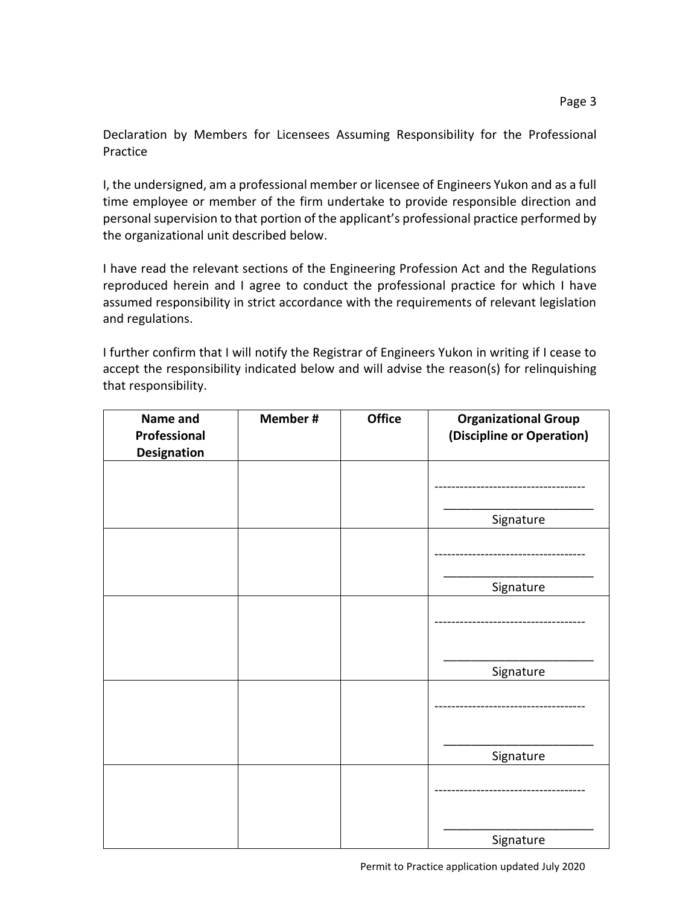Page 3

Declaration by Members for Licensees Assuming Responsibility for the Professional Practice

I, the undersigned, am a professional member or licensee of Engineers Yukon and as a full time employee or member of the firm undertake to provide responsible direction and personal supervision to that portion of the applicant's professional practice performed by the organizational unit described below.

I have read the relevant sections of the Engineering Profession Act and the Regulations reproduced herein and I agree to conduct the professional practice for which I have assumed responsibility in strict accordance with the requirements of relevant legislation and regulations.

I further confirm that I will notify the Registrar of Engineers Yukon in writing if I cease to accept the responsibility indicated below and will advise the reason(s) for relinquishing that responsibility.

| Name and<br>Professional<br><b>Designation</b> | Member # | <b>Office</b> | <b>Organizational Group</b><br>(Discipline or Operation) |
|------------------------------------------------|----------|---------------|----------------------------------------------------------|
|                                                |          |               |                                                          |
|                                                |          |               | Signature                                                |
|                                                |          |               |                                                          |
|                                                |          |               | Signature                                                |
|                                                |          |               |                                                          |
|                                                |          |               | Signature                                                |
|                                                |          |               |                                                          |
|                                                |          |               | Signature                                                |
|                                                |          |               |                                                          |
|                                                |          |               | Signature                                                |